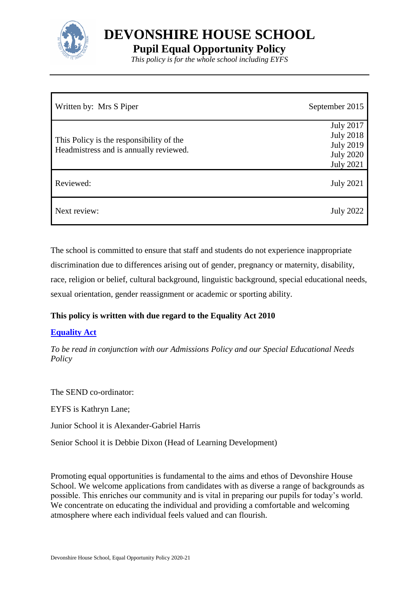

**DEVONSHIRE HOUSE SCHOOL**

**Pupil Equal Opportunity Policy**

*This policy is for the whole school including EYFS*

| Written by: Mrs S Piper                                                            | September 2015                                                                                   |
|------------------------------------------------------------------------------------|--------------------------------------------------------------------------------------------------|
| This Policy is the responsibility of the<br>Headmistress and is annually reviewed. | <b>July 2017</b><br><b>July 2018</b><br><b>July 2019</b><br><b>July 2020</b><br><b>July 2021</b> |
| Reviewed:                                                                          | <b>July 2021</b>                                                                                 |
| Next review:                                                                       | <b>July 2022</b>                                                                                 |

The school is committed to ensure that staff and students do not experience inappropriate discrimination due to differences arising out of gender, pregnancy or maternity, disability, race, religion or belief, cultural background, linguistic background, special educational needs, sexual orientation, gender reassignment or academic or sporting ability.

# **This policy is written with due regard to the Equality Act 2010**

# **[Equality Act](https://www.legislation.gov.uk/ukpga/2010/15/contents)**

*To be read in conjunction with our Admissions Policy and our Special Educational Needs Policy* 

The SEND co-ordinator: EYFS is Kathryn Lane; Junior School it is Alexander-Gabriel Harris Senior School it is Debbie Dixon (Head of Learning Development)

Promoting equal opportunities is fundamental to the aims and ethos of Devonshire House School. We welcome applications from candidates with as diverse a range of backgrounds as possible. This enriches our community and is vital in preparing our pupils for today's world. We concentrate on educating the individual and providing a comfortable and welcoming atmosphere where each individual feels valued and can flourish.